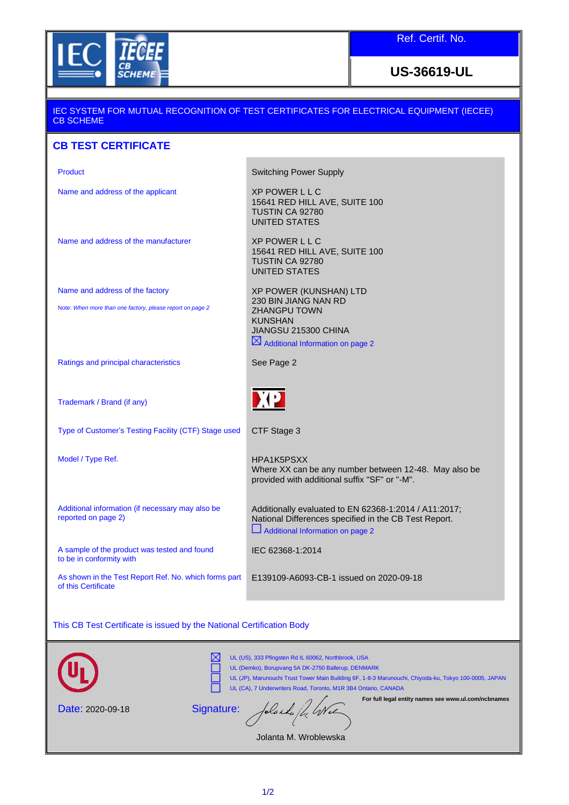

Ref. Certif. No.

**US-36619-UL**

## IEC SYSTEM FOR MUTUAL RECOGNITION OF TEST CERTIFICATES FOR ELECTRICAL EQUIPMENT (IECEE) CB SCHEME **CB TEST CERTIFICATE**

| Product                                                                                                                                                                                                                                                                              | <b>Switching Power Supply</b>                                                                                                                      |
|--------------------------------------------------------------------------------------------------------------------------------------------------------------------------------------------------------------------------------------------------------------------------------------|----------------------------------------------------------------------------------------------------------------------------------------------------|
| Name and address of the applicant                                                                                                                                                                                                                                                    | <b>XP POWER LLC</b><br>15641 RED HILL AVE, SUITE 100<br>TUSTIN CA 92780<br><b>UNITED STATES</b>                                                    |
| Name and address of the manufacturer                                                                                                                                                                                                                                                 | <b>XP POWER LLC</b><br>15641 RED HILL AVE, SUITE 100<br>TUSTIN CA 92780<br><b>UNITED STATES</b>                                                    |
| Name and address of the factory                                                                                                                                                                                                                                                      | XP POWER (KUNSHAN) LTD                                                                                                                             |
| Note: When more than one factory, please report on page 2                                                                                                                                                                                                                            | 230 BIN JIANG NAN RD<br><b>ZHANGPU TOWN</b><br><b>KUNSHAN</b><br>JIANGSU 215300 CHINA<br>$\boxtimes$ Additional Information on page 2              |
| Ratings and principal characteristics                                                                                                                                                                                                                                                | See Page 2                                                                                                                                         |
| Trademark / Brand (if any)                                                                                                                                                                                                                                                           | <b>DEP</b>                                                                                                                                         |
| Type of Customer's Testing Facility (CTF) Stage used                                                                                                                                                                                                                                 | CTF Stage 3                                                                                                                                        |
| Model / Type Ref.                                                                                                                                                                                                                                                                    | HPA1K5PSXX<br>Where XX can be any number between 12-48. May also be<br>provided with additional suffix "SF" or "-M".                               |
| Additional information (if necessary may also be<br>reported on page 2)                                                                                                                                                                                                              | Additionally evaluated to EN 62368-1:2014 / A11:2017;<br>National Differences specified in the CB Test Report.<br>Additional Information on page 2 |
| A sample of the product was tested and found<br>to be in conformity with                                                                                                                                                                                                             | IEC 62368-1:2014                                                                                                                                   |
| As shown in the Test Report Ref. No. which forms part<br>of this Certificate                                                                                                                                                                                                         | E139109-A6093-CB-1 issued on 2020-09-18                                                                                                            |
|                                                                                                                                                                                                                                                                                      |                                                                                                                                                    |
| This CB Test Certificate is issued by the National Certification Body                                                                                                                                                                                                                |                                                                                                                                                    |
| UL (US), 333 Pfingsten Rd IL 60062, Northbrook, USA<br>UL (Demko), Borupvang 5A DK-2750 Ballerup, DENMARK<br>UL (JP), Marunouchi Trust Tower Main Building 6F, 1-8-3 Marunouchi, Chiyoda-ku, Tokyo 100-0005, JAPAN<br>UL (CA), 7 Underwriters Road, Toronto, M1R 3B4 Ontario, CANADA |                                                                                                                                                    |
| For full legal entity names see www.ul.com/ncbnames                                                                                                                                                                                                                                  |                                                                                                                                                    |

Date: 2020-09-18

Signature: Jolanda fl. Wel

Jolanta M. Wroblewska